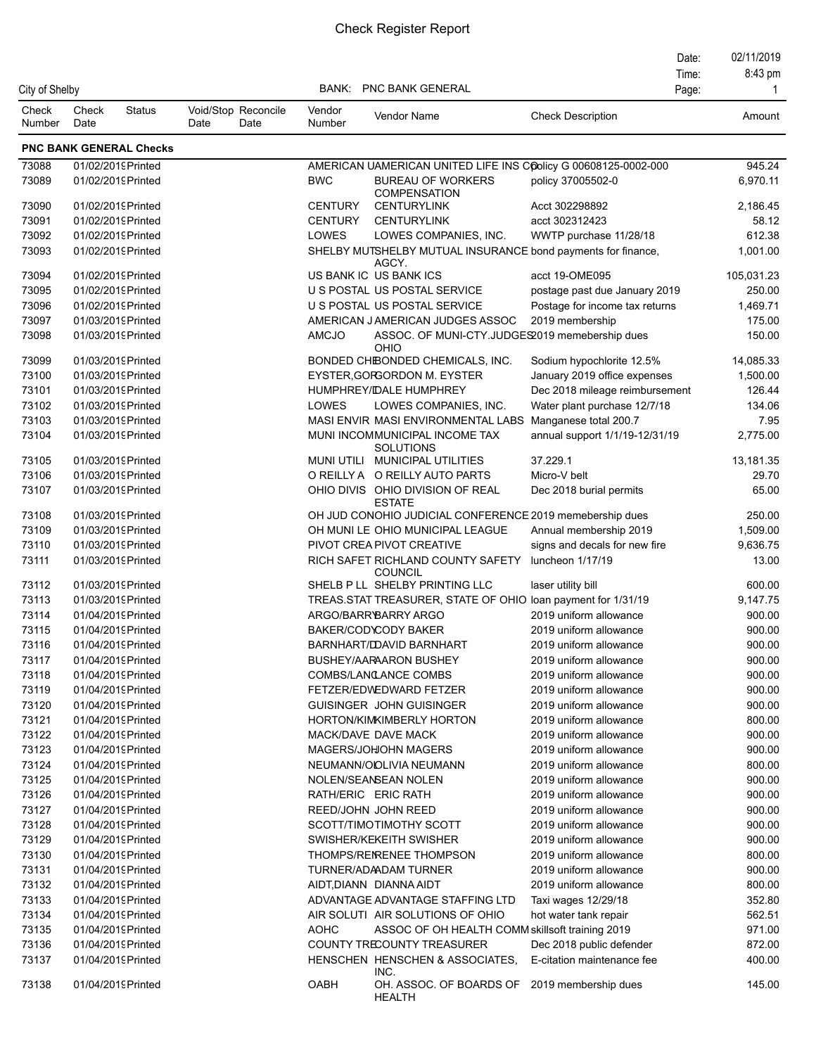|                 |               |                                          |      |                             |                     |                                                                       |                                                           | Date: | 02/11/2019            |
|-----------------|---------------|------------------------------------------|------|-----------------------------|---------------------|-----------------------------------------------------------------------|-----------------------------------------------------------|-------|-----------------------|
|                 |               |                                          |      |                             |                     |                                                                       |                                                           | Time: | 8:43 pm               |
| City of Shelby  |               |                                          |      |                             | BANK:               | <b>PNC BANK GENERAL</b>                                               |                                                           | Page: | 1                     |
| Check<br>Number | Check<br>Date | <b>Status</b>                            | Date | Void/Stop Reconcile<br>Date | Vendor<br>Number    | Vendor Name                                                           | <b>Check Description</b>                                  |       | Amount                |
|                 |               | <b>PNC BANK GENERAL Checks</b>           |      |                             |                     |                                                                       |                                                           |       |                       |
| 73088           |               | 01/02/2019 Printed                       |      |                             |                     | AMERICAN UAMERICAN UNITED LIFE INS COOlicy G 00608125-0002-000        |                                                           |       | 945.24                |
| 73089           |               | 01/02/2019 Printed                       |      |                             | <b>BWC</b>          | <b>BUREAU OF WORKERS</b>                                              | policy 37005502-0                                         |       | 6,970.11              |
|                 |               |                                          |      |                             |                     | <b>COMPENSATION</b>                                                   |                                                           |       |                       |
| 73090           |               | 01/02/2019 Printed                       |      |                             | <b>CENTURY</b>      | <b>CENTURYLINK</b>                                                    | Acct 302298892                                            |       | 2,186.45              |
| 73091           |               | 01/02/2019 Printed                       |      |                             | <b>CENTURY</b>      | <b>CENTURYLINK</b>                                                    | acct 302312423                                            |       | 58.12                 |
| 73092           |               | 01/02/2019 Printed                       |      |                             | LOWES               | LOWES COMPANIES, INC.                                                 | WWTP purchase 11/28/18                                    |       | 612.38                |
| 73093           |               | 01/02/2019 Printed                       |      |                             |                     | SHELBY MUTSHELBY MUTUAL INSURANCE bond payments for finance,<br>AGCY. |                                                           |       | 1,001.00              |
| 73094           |               | 01/02/2019 Printed                       |      |                             |                     | US BANK IC US BANK ICS                                                | acct 19-OME095                                            |       | 105,031.23            |
| 73095           |               | 01/02/2019 Printed                       |      |                             |                     | U S POSTAL US POSTAL SERVICE                                          | postage past due January 2019                             |       | 250.00                |
| 73096           |               | 01/02/2019 Printed                       |      |                             |                     | U S POSTAL US POSTAL SERVICE                                          | Postage for income tax returns                            |       | 1,469.71              |
| 73097           |               | 01/03/2019 Printed                       |      |                             |                     | AMERICAN JAMERICAN JUDGES ASSOC                                       | 2019 membership                                           |       | 175.00                |
| 73098           |               | 01/03/2019 Printed                       |      |                             | AMCJO               | ASSOC. OF MUNI-CTY.JUDGES2019 memebership dues                        |                                                           |       | 150.00                |
|                 |               |                                          |      |                             |                     | OHIO                                                                  |                                                           |       |                       |
| 73099<br>73100  |               | 01/03/2019 Printed<br>01/03/2019 Printed |      |                             |                     | BONDED CHIBONDED CHEMICALS, INC.<br>EYSTER, GORGORDON M. EYSTER       | Sodium hypochlorite 12.5%<br>January 2019 office expenses |       | 14,085.33<br>1,500.00 |
|                 |               |                                          |      |                             |                     |                                                                       |                                                           |       |                       |
| 73101           |               | 01/03/2019 Printed                       |      |                             |                     | HUMPHREY/IDALE HUMPHREY                                               | Dec 2018 mileage reimbursement                            |       | 126.44                |
| 73102           |               | 01/03/2019 Printed                       |      |                             | LOWES               | LOWES COMPANIES, INC.                                                 | Water plant purchase 12/7/18                              |       | 134.06                |
| 73103           |               | 01/03/2019 Printed                       |      |                             |                     | MASI ENVIR MASI ENVIRONMENTAL LABS                                    | Manganese total 200.7                                     |       | 7.95                  |
| 73104           |               | 01/03/2019 Printed                       |      |                             |                     | MUNI INCOMMUNICIPAL INCOME TAX<br><b>SOLUTIONS</b>                    | annual support 1/1/19-12/31/19                            |       | 2,775.00              |
| 73105           |               | 01/03/2019 Printed                       |      |                             |                     | MUNI UTILI MUNICIPAL UTILITIES                                        | 37.229.1                                                  |       | 13,181.35             |
| 73106           |               | 01/03/2019 Printed                       |      |                             |                     | O REILLY A O REILLY AUTO PARTS                                        | Micro-V belt                                              |       | 29.70                 |
| 73107           |               | 01/03/2019 Printed                       |      |                             |                     | OHIO DIVIS OHIO DIVISION OF REAL<br><b>ESTATE</b>                     | Dec 2018 burial permits                                   |       | 65.00                 |
| 73108           |               | 01/03/2019 Printed                       |      |                             |                     | OH JUD CONOHIO JUDICIAL CONFERENCE 2019 memebership dues              |                                                           |       | 250.00                |
| 73109           |               | 01/03/2019 Printed                       |      |                             |                     | OH MUNI LE OHIO MUNICIPAL LEAGUE                                      | Annual membership 2019                                    |       | 1,509.00              |
| 73110           |               | 01/03/2019 Printed                       |      |                             |                     | PIVOT CREA PIVOT CREATIVE                                             | signs and decals for new fire                             |       | 9,636.75              |
| 73111           |               | 01/03/2019 Printed                       |      |                             |                     | RICH SAFET RICHLAND COUNTY SAFETY<br><b>COUNCIL</b>                   | luncheon 1/17/19                                          |       | 13.00                 |
| 73112           |               | 01/03/2019 Printed                       |      |                             |                     | SHELB P LL SHELBY PRINTING LLC                                        | laser utility bill                                        |       | 600.00                |
| 73113           |               | 01/03/2019 Printed                       |      |                             |                     | TREAS.STAT TREASURER, STATE OF OHIO loan payment for 1/31/19          |                                                           |       | 9,147.75              |
| 73114           |               | 01/04/2019 Printed                       |      |                             |                     | ARGO/BARRYBARRY ARGO                                                  | 2019 uniform allowance                                    |       | 900.00                |
| 73115           |               | 01/04/2019 Printed                       |      |                             |                     | BAKER/COD\CODY BAKER                                                  | 2019 uniform allowance                                    |       | 900.00                |
| 73116           |               | 01/04/2019 Printed                       |      |                             |                     | BARNHART/DDAVID BARNHART                                              | 2019 uniform allowance                                    |       | 900.00                |
| 73117           |               | 01/04/2019 Printed                       |      |                             |                     | BUSHEY/AARAARON BUSHEY                                                | 2019 uniform allowance                                    |       | 900.00                |
| 73118           |               | 01/04/2019 Printed                       |      |                             |                     | COMBS/LANCANCE COMBS                                                  | 2019 uniform allowance                                    |       | 900.00                |
| 73119           |               | 01/04/2019 Printed                       |      |                             |                     | FETZER/EDWEDWARD FETZER                                               | 2019 uniform allowance                                    |       | 900.00                |
| 73120           |               | 01/04/2019 Printed                       |      |                             |                     | GUISINGER JOHN GUISINGER                                              | 2019 uniform allowance                                    |       | 900.00                |
| 73121           |               | 01/04/2019 Printed                       |      |                             |                     | HORTON/KIMKIMBERLY HORTON                                             | 2019 uniform allowance                                    |       | 800.00                |
| 73122           |               | 01/04/2019 Printed                       |      |                             |                     | MACK/DAVE DAVE MACK                                                   | 2019 uniform allowance                                    |       | 900.00                |
| 73123           |               | 01/04/2019 Printed                       |      |                             |                     | MAGERS/JOHOHN MAGERS                                                  | 2019 uniform allowance                                    |       | 900.00                |
| 73124           |               | 01/04/2019 Printed                       |      |                             |                     | NEUMANN/ODLIVIA NEUMANN                                               | 2019 uniform allowance                                    |       | 800.00                |
| 73125           |               | 01/04/2019 Printed                       |      |                             |                     | NOLEN/SEANSEAN NOLEN                                                  | 2019 uniform allowance                                    |       | 900.00                |
| 73126           |               | 01/04/2019 Printed                       |      |                             | RATH/ERIC ERIC RATH |                                                                       | 2019 uniform allowance                                    |       | 900.00                |
| 73127           |               | 01/04/2019 Printed                       |      |                             |                     | REED/JOHN JOHN REED                                                   | 2019 uniform allowance                                    |       | 900.00                |
| 73128           |               | 01/04/2019 Printed                       |      |                             |                     | SCOTT/TIMOTIMOTHY SCOTT                                               | 2019 uniform allowance                                    |       | 900.00                |
|                 |               |                                          |      |                             |                     |                                                                       |                                                           |       |                       |
| 73129           |               | 01/04/2019 Printed                       |      |                             |                     | SWISHER/KEKEITH SWISHER                                               | 2019 uniform allowance                                    |       | 900.00                |
| 73130           |               | 01/04/2019 Printed                       |      |                             |                     | THOMPS/REIRENEE THOMPSON                                              | 2019 uniform allowance                                    |       | 800.00                |
| 73131           |               | 01/04/2019 Printed                       |      |                             |                     | TURNER/ADAADAM TURNER                                                 | 2019 uniform allowance                                    |       | 900.00                |
| 73132           |               | 01/04/2019 Printed                       |      |                             |                     | AIDT, DIANN DIANNA AIDT                                               | 2019 uniform allowance                                    |       | 800.00                |
| 73133           |               | 01/04/2019Printed                        |      |                             |                     | ADVANTAGE ADVANTAGE STAFFING LTD                                      | Taxi wages 12/29/18                                       |       | 352.80                |
| 73134           |               | 01/04/2019 Printed                       |      |                             |                     | AIR SOLUTI AIR SOLUTIONS OF OHIO                                      | hot water tank repair                                     |       | 562.51                |
| 73135           |               | 01/04/2019 Printed                       |      |                             | <b>AOHC</b>         | ASSOC OF OH HEALTH COMM skillsoft training 2019                       |                                                           |       | 971.00                |
| 73136           |               | 01/04/2019 Printed                       |      |                             |                     | COUNTY TRECOUNTY TREASURER                                            | Dec 2018 public defender                                  |       | 872.00                |
| 73137           |               | 01/04/2019 Printed                       |      |                             |                     | HENSCHEN HENSCHEN & ASSOCIATES,<br>INC.                               | E-citation maintenance fee                                |       | 400.00                |
| 73138           |               | 01/04/2019 Printed                       |      |                             | OABH                | OH. ASSOC. OF BOARDS OF 2019 membership dues<br>HEALTH                |                                                           |       | 145.00                |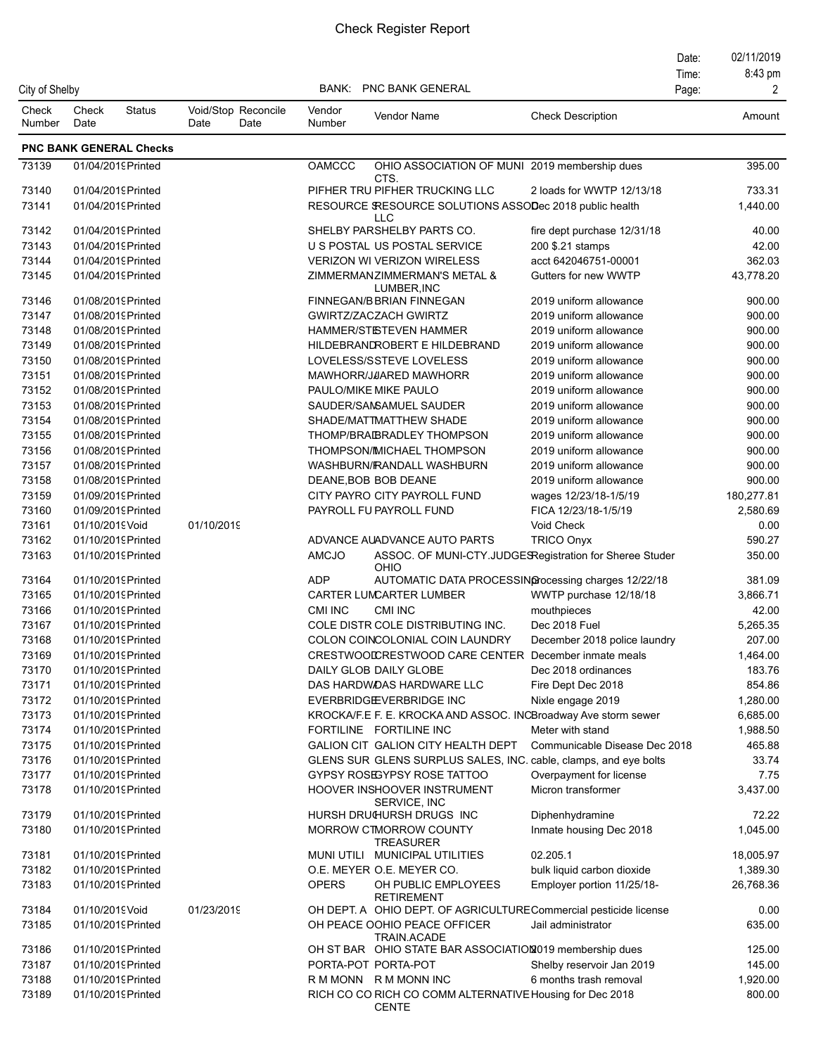| City of Shelby  |                 |                                          |                                     |                  | <b>BANK: PNC BANK GENERAL</b>                                            |                                               | Date:<br>Time:<br>Page: | 02/11/2019<br>8:43 pm<br>2 |
|-----------------|-----------------|------------------------------------------|-------------------------------------|------------------|--------------------------------------------------------------------------|-----------------------------------------------|-------------------------|----------------------------|
| Check<br>Number | Check<br>Date   | <b>Status</b>                            | Void/Stop Reconcile<br>Date<br>Date | Vendor<br>Number | <b>Vendor Name</b>                                                       | <b>Check Description</b>                      |                         | Amount                     |
|                 |                 | <b>PNC BANK GENERAL Checks</b>           |                                     |                  |                                                                          |                                               |                         |                            |
| 73139           |                 | 01/04/2019 Printed                       |                                     | <b>OAMCCC</b>    | OHIO ASSOCIATION OF MUNI 2019 membership dues<br>CTS.                    |                                               |                         | 395.00                     |
| 73140           |                 | 01/04/2019 Printed                       |                                     |                  | PIFHER TRU PIFHER TRUCKING LLC                                           | 2 loads for WWTP 12/13/18                     |                         | 733.31                     |
| 73141           |                 | 01/04/2019 Printed                       |                                     |                  | RESOURCE SRESOURCE SOLUTIONS ASSODec 2018 public health<br><b>LLC</b>    |                                               |                         | 1,440.00                   |
| 73142           |                 | 01/04/2019 Printed                       |                                     |                  | SHELBY PARSHELBY PARTS CO.                                               | fire dept purchase 12/31/18                   |                         | 40.00                      |
| 73143           |                 | 01/04/2019 Printed                       |                                     |                  | U S POSTAL US POSTAL SERVICE                                             | 200 \$.21 stamps                              |                         | 42.00                      |
| 73144           |                 | 01/04/2019 Printed                       |                                     |                  | <b>VERIZON WI VERIZON WIRELESS</b>                                       | acct 642046751-00001                          |                         | 362.03                     |
| 73145           |                 | 01/04/2019 Printed                       |                                     |                  | ZIMMERMANZIMMERMAN'S METAL &<br>LUMBER, INC                              | Gutters for new WWTP                          |                         | 43,778.20                  |
| 73146           |                 | 01/08/2019 Printed                       |                                     |                  | FINNEGAN/BBRIAN FINNEGAN                                                 | 2019 uniform allowance                        |                         | 900.00                     |
| 73147           |                 | 01/08/2019 Printed                       |                                     |                  | <b>GWIRTZ/ZACZACH GWIRTZ</b>                                             | 2019 uniform allowance                        |                         | 900.00                     |
| 73148           |                 | 01/08/2019 Printed                       |                                     |                  | <b>HAMMER/STISTEVEN HAMMER</b>                                           | 2019 uniform allowance                        |                         | 900.00                     |
| 73149           |                 | 01/08/2019 Printed                       |                                     |                  | HILDEBRANDROBERT E HILDEBRAND                                            | 2019 uniform allowance                        |                         | 900.00                     |
| 73150           |                 | 01/08/2019 Printed                       |                                     |                  | LOVELESS/SSTEVE LOVELESS                                                 | 2019 uniform allowance                        |                         | 900.00                     |
| 73151           |                 | 01/08/2019 Printed                       |                                     |                  | MAWHORR/JAARED MAWHORR                                                   | 2019 uniform allowance                        |                         | 900.00                     |
| 73152           |                 | 01/08/2019 Printed                       |                                     |                  | PAULO/MIKE MIKE PAULO                                                    | 2019 uniform allowance                        |                         | 900.00                     |
| 73153           |                 | 01/08/2019 Printed                       |                                     |                  | SAUDER/SAMSAMUEL SAUDER                                                  | 2019 uniform allowance                        |                         | 900.00                     |
| 73154           |                 | 01/08/2019 Printed                       |                                     |                  | SHADE/MATTMATTHEW SHADE                                                  | 2019 uniform allowance                        |                         | 900.00                     |
| 73155           |                 | 01/08/2019 Printed                       |                                     |                  | THOMP/BRAIBRADLEY THOMPSON                                               | 2019 uniform allowance                        |                         | 900.00                     |
| 73156           |                 | 01/08/2019 Printed                       |                                     |                  | THOMPSON/IMICHAEL THOMPSON                                               | 2019 uniform allowance                        |                         | 900.00                     |
| 73157           |                 | 01/08/2019 Printed                       |                                     |                  | WASHBURN/FRANDALL WASHBURN                                               | 2019 uniform allowance                        |                         | 900.00                     |
| 73158           |                 | 01/08/2019 Printed                       |                                     |                  | DEANE, BOB BOB DEANE                                                     | 2019 uniform allowance                        |                         | 900.00                     |
| 73159           |                 | 01/09/2019 Printed                       |                                     |                  | CITY PAYRO CITY PAYROLL FUND                                             | wages 12/23/18-1/5/19                         |                         | 180,277.81                 |
| 73160<br>73161  | 01/10/2019 Void | 01/09/2019 Printed                       | 01/10/2019                          |                  | PAYROLL FU PAYROLL FUND                                                  | FICA 12/23/18-1/5/19<br>Void Check            |                         | 2,580.69<br>0.00           |
| 73162           |                 | 01/10/2019 Printed                       |                                     |                  | ADVANCE AUADVANCE AUTO PARTS                                             | <b>TRICO Onyx</b>                             |                         | 590.27                     |
| 73163           |                 | 01/10/2019 Printed                       |                                     | AMCJO            | ASSOC. OF MUNI-CTY.JUDGESRegistration for Sheree Studer<br>OHIO          |                                               |                         | 350.00                     |
| 73164           |                 | 01/10/2019 Printed                       |                                     | <b>ADP</b>       | AUTOMATIC DATA PROCESSING ocessing charges 12/22/18                      |                                               |                         | 381.09                     |
| 73165           |                 | 01/10/2019 Printed                       |                                     |                  | CARTER LUMCARTER LUMBER                                                  | WWTP purchase 12/18/18                        |                         | 3,866.71                   |
| 73166           |                 | 01/10/2019 Printed                       |                                     | CMI INC          | <b>CMI INC</b>                                                           | mouthpieces                                   |                         | 42.00                      |
| 73167           |                 | 01/10/2019 Printed                       |                                     |                  | COLE DISTR COLE DISTRIBUTING INC.                                        | Dec 2018 Fuel                                 |                         | 5,265.35                   |
| 73168           |                 | 01/10/2019 Printed                       |                                     |                  | COLON COINCOLONIAL COIN LAUNDRY                                          | December 2018 police laundry                  |                         | 207.00                     |
| 73169           |                 | 01/10/2019 Printed                       |                                     |                  | CRESTWOODCRESTWOOD CARE CENTER December inmate meals                     |                                               |                         | 1,464.00                   |
| 73170           |                 | 01/10/2019 Printed                       |                                     |                  | DAILY GLOB DAILY GLOBE                                                   | Dec 2018 ordinances                           |                         | 183.76                     |
| 73171           |                 | 01/10/2019 Printed                       |                                     |                  | DAS HARDWOAS HARDWARE LLC                                                | Fire Dept Dec 2018                            |                         | 854.86                     |
| 73172           |                 | 01/10/2019 Printed                       |                                     |                  | EVERBRIDGEVERBRIDGE INC                                                  | Nixle engage 2019                             |                         | 1,280.00                   |
| 73173           |                 | 01/10/2019 Printed                       |                                     |                  | KROCKA/F.E F. E. KROCKA AND ASSOC. INCBroadway Ave storm sewer           |                                               |                         | 6,685.00                   |
| 73174           |                 | 01/10/2019 Printed                       |                                     |                  | FORTILINE FORTILINE INC                                                  | Meter with stand                              |                         | 1,988.50                   |
| 73175           |                 | 01/10/2019 Printed                       |                                     |                  | GALION CIT GALION CITY HEALTH DEPT                                       | Communicable Disease Dec 2018                 |                         | 465.88                     |
| 73176           |                 | 01/10/2019 Printed                       |                                     |                  | GLENS SUR GLENS SURPLUS SALES, INC. cable, clamps, and eye bolts         |                                               |                         | 33.74                      |
| 73177<br>73178  |                 | 01/10/2019 Printed<br>01/10/2019 Printed |                                     |                  | <b>GYPSY ROSEGYPSY ROSE TATTOO</b><br>HOOVER INSHOOVER INSTRUMENT        | Overpayment for license<br>Micron transformer |                         | 7.75<br>3,437.00           |
| 73179           |                 | 01/10/2019 Printed                       |                                     |                  | SERVICE, INC<br>HURSH DRUGURSH DRUGS INC                                 | Diphenhydramine                               |                         | 72.22                      |
| 73180           |                 | 01/10/2019 Printed                       |                                     |                  | <b>MORROW CTMORROW COUNTY</b><br><b>TREASURER</b>                        | Inmate housing Dec 2018                       |                         | 1,045.00                   |
| 73181           |                 | 01/10/2019 Printed                       |                                     |                  | MUNI UTILI MUNICIPAL UTILITIES                                           | 02.205.1                                      |                         | 18,005.97                  |
| 73182           |                 | 01/10/2019 Printed                       |                                     |                  | O.E. MEYER O.E. MEYER CO.                                                | bulk liquid carbon dioxide                    |                         | 1,389.30                   |
| 73183           |                 | 01/10/2019 Printed                       |                                     | <b>OPERS</b>     | OH PUBLIC EMPLOYEES<br><b>RETIREMENT</b>                                 | Employer portion 11/25/18-                    |                         | 26,768.36                  |
| 73184           | 01/10/2019 Void |                                          | 01/23/2019                          |                  | OH DEPT. A OHIO DEPT. OF AGRICULTURECommercial pesticide license         |                                               |                         | 0.00                       |
| 73185           |                 | 01/10/2019 Printed                       |                                     |                  | OH PEACE OOHIO PEACE OFFICER<br>TRAIN ACADE                              | Jail administrator                            |                         | 635.00                     |
| 73186           |                 | 01/10/2019 Printed                       |                                     |                  | OH ST BAR OHIO STATE BAR ASSOCIATION2019 membership dues                 |                                               |                         | 125.00                     |
| 73187           |                 | 01/10/2019 Printed                       |                                     |                  | PORTA-POT PORTA-POT                                                      | Shelby reservoir Jan 2019                     |                         | 145.00                     |
| 73188           |                 | 01/10/2019 Printed                       |                                     |                  | R M MONN R M MONN INC                                                    | 6 months trash removal                        |                         | 1,920.00                   |
| 73189           |                 | 01/10/2019 Printed                       |                                     |                  | RICH CO CO RICH CO COMM ALTERNATIVE Housing for Dec 2018<br><b>CENTE</b> |                                               |                         | 800.00                     |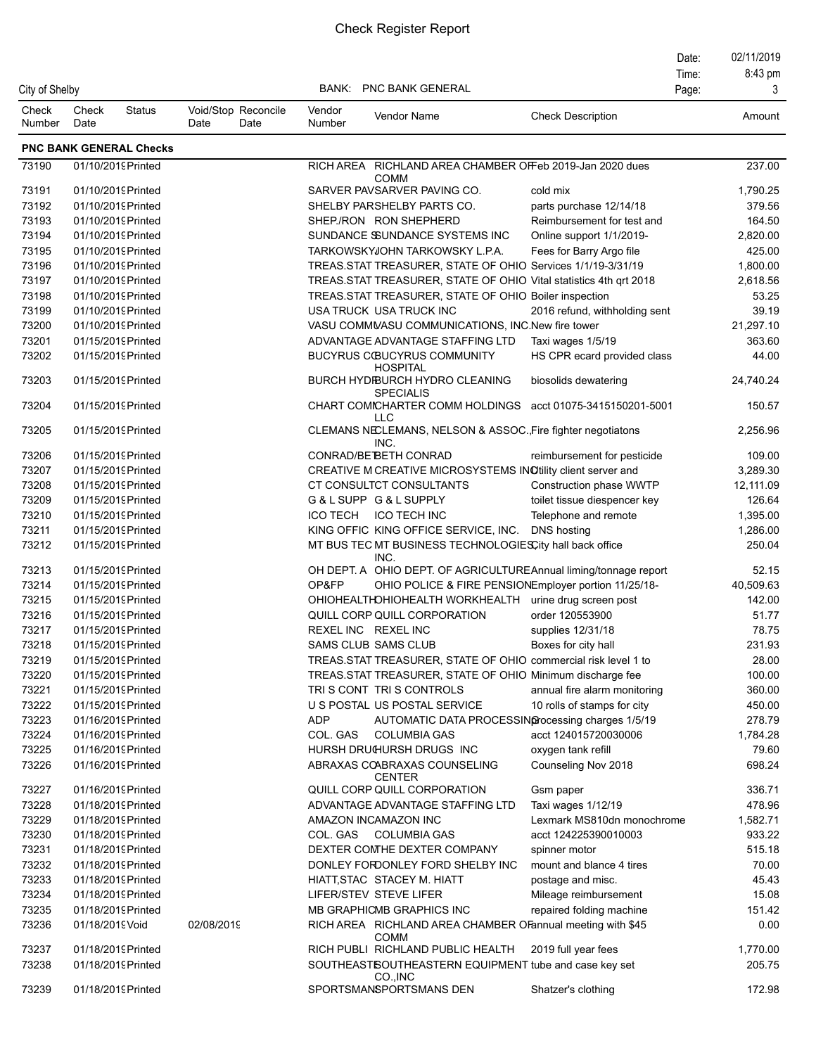|                 |                 |                                          |                                     |                  |                                                                                                  |                               | Date: | 02/11/2019         |
|-----------------|-----------------|------------------------------------------|-------------------------------------|------------------|--------------------------------------------------------------------------------------------------|-------------------------------|-------|--------------------|
|                 |                 |                                          |                                     |                  |                                                                                                  |                               | Time: | 8:43 pm            |
| City of Shelby  |                 |                                          |                                     | BANK:            | <b>PNC BANK GENERAL</b>                                                                          |                               | Page: | 3                  |
| Check<br>Number | Check<br>Date   | <b>Status</b>                            | Void/Stop Reconcile<br>Date<br>Date | Vendor<br>Number | Vendor Name                                                                                      | <b>Check Description</b>      |       | Amount             |
|                 |                 | <b>PNC BANK GENERAL Checks</b>           |                                     |                  |                                                                                                  |                               |       |                    |
| 73190           |                 | 01/10/2019 Printed                       |                                     |                  | RICH AREA RICHLAND AREA CHAMBER OFFeb 2019-Jan 2020 dues<br><b>COMM</b>                          |                               |       | 237.00             |
| 73191           |                 | 01/10/2019 Printed                       |                                     |                  | SARVER PAVSARVER PAVING CO.                                                                      | cold mix                      |       | 1,790.25           |
| 73192           |                 | 01/10/2019 Printed                       |                                     |                  | SHELBY PARSHELBY PARTS CO.                                                                       | parts purchase 12/14/18       |       | 379.56             |
| 73193           |                 | 01/10/2019 Printed                       |                                     |                  | SHEP/RON RON SHEPHERD                                                                            | Reimbursement for test and    |       | 164.50             |
| 73194           |                 | 01/10/2019 Printed                       |                                     |                  | SUNDANCE SSUNDANCE SYSTEMS INC                                                                   | Online support 1/1/2019-      |       | 2,820.00           |
| 73195           |                 | 01/10/2019 Printed                       |                                     |                  | TARKOWSKYJOHN TARKOWSKY L.P.A.                                                                   | Fees for Barry Argo file      |       | 425.00             |
| 73196           |                 | 01/10/2019 Printed                       |                                     |                  | TREAS.STAT TREASURER, STATE OF OHIO Services 1/1/19-3/31/19                                      |                               |       | 1,800.00           |
| 73197           |                 | 01/10/2019 Printed                       |                                     |                  | TREAS STAT TREASURER, STATE OF OHIO Vital statistics 4th qrt 2018                                |                               |       | 2,618.56           |
| 73198           |                 | 01/10/2019 Printed                       |                                     |                  | TREAS. STAT TREASURER, STATE OF OHIO Boiler inspection                                           |                               |       | 53.25              |
| 73199           |                 | 01/10/2019 Printed                       |                                     |                  | USA TRUCK USA TRUCK INC                                                                          | 2016 refund, withholding sent |       | 39.19              |
| 73200           |                 | 01/10/2019 Printed                       |                                     |                  | VASU COMMUASU COMMUNICATIONS, INC.New fire tower                                                 |                               |       | 21,297.10          |
| 73201           |                 | 01/15/2019 Printed                       |                                     |                  | ADVANTAGE ADVANTAGE STAFFING LTD                                                                 | Taxi wages 1/5/19             |       | 363.60             |
| 73202           |                 | 01/15/2019 Printed                       |                                     |                  | <b>BUCYRUS COUCYRUS COMMUNITY</b><br><b>HOSPITAL</b>                                             | HS CPR ecard provided class   |       | 44.00              |
| 73203           |                 | 01/15/2019 Printed                       |                                     |                  | BURCH HYDIBURCH HYDRO CLEANING<br><b>SPECIALIS</b>                                               | biosolids dewatering          |       | 24,740.24          |
| 73204           |                 | 01/15/2019 Printed                       |                                     |                  | CHART COMICHARTER COMM HOLDINGS acct 01075-3415150201-5001<br><b>LLC</b>                         |                               |       | 150.57             |
| 73205           |                 | 01/15/2019 Printed                       |                                     |                  | CLEMANS NECLEMANS, NELSON & ASSOC. Fire fighter negotiatons<br>INC.                              |                               |       | 2,256.96           |
| 73206           |                 | 01/15/2019 Printed                       |                                     |                  | CONRAD/BE BETH CONRAD                                                                            | reimbursement for pesticide   |       | 109.00             |
| 73207           |                 | 01/15/2019 Printed                       |                                     |                  | CREATIVE M CREATIVE MICROSYSTEMS INOtility client server and                                     |                               |       | 3,289.30           |
| 73208           |                 | 01/15/2019 Printed                       |                                     |                  | CT CONSULTCT CONSULTANTS                                                                         | Construction phase WWTP       |       | 12,111.09          |
| 73209           |                 | 01/15/2019 Printed                       |                                     |                  | G&LSUPP G&LSUPPLY                                                                                | toilet tissue diespencer key  |       | 126.64             |
| 73210           |                 | 01/15/2019Printed                        |                                     |                  | ICO TECH ICO TECH INC                                                                            | Telephone and remote          |       | 1,395.00           |
| 73211<br>73212  |                 | 01/15/2019 Printed<br>01/15/2019 Printed |                                     |                  | KING OFFIC KING OFFICE SERVICE, INC.<br>MT BUS TEC MT BUSINESS TECHNOLOGIESCity hall back office | <b>DNS</b> hosting            |       | 1,286.00<br>250.04 |
| 73213           |                 | 01/15/2019 Printed                       |                                     |                  | INC.<br>OH DEPT. A OHIO DEPT. OF AGRICULTUREAnnual liming/tonnage report                         |                               |       | 52.15              |
| 73214           |                 | 01/15/2019 Printed                       |                                     | OP&FP            | OHIO POLICE & FIRE PENSIONEmployer portion 11/25/18-                                             |                               |       | 40,509.63          |
| 73215           |                 | 01/15/2019 Printed                       |                                     |                  | OHIOHEALTHOHIOHEALTH WORKHEALTH urine drug screen post                                           |                               |       | 142.00             |
| 73216           |                 | 01/15/2019Printed                        |                                     |                  | QUILL CORP QUILL CORPORATION                                                                     | order 120553900               |       | 51.77              |
| 73217           |                 | 01/15/2019 Printed                       |                                     |                  | REXEL INC REXEL INC                                                                              | supplies 12/31/18             |       | 78.75              |
| 73218           |                 | 01/15/2019 Printed                       |                                     |                  | SAMS CLUB SAMS CLUB                                                                              | Boxes for city hall           |       | 231.93             |
| 73219           |                 | 01/15/2019Printed                        |                                     |                  | TREAS STAT TREASURER, STATE OF OHIO commercial risk level 1 to                                   |                               |       | 28.00              |
| 73220           |                 | 01/15/2019Printed                        |                                     |                  | TREAS STAT TREASURER, STATE OF OHIO Minimum discharge fee                                        |                               |       | 100.00             |
| 73221           |                 | 01/15/2019 Printed                       |                                     |                  | TRIS CONT TRIS CONTROLS                                                                          | annual fire alarm monitoring  |       | 360.00             |
| 73222           |                 | 01/15/2019 Printed                       |                                     |                  | U S POSTAL US POSTAL SERVICE                                                                     | 10 rolls of stamps for city   |       | 450.00             |
| 73223           |                 | 01/16/2019 Printed                       |                                     | <b>ADP</b>       | AUTOMATIC DATA PROCESSING ocessing charges 1/5/19                                                |                               |       | 278.79             |
| 73224           |                 | 01/16/2019 Printed                       |                                     | COL. GAS         | <b>COLUMBIA GAS</b>                                                                              | acct 124015720030006          |       | 1,784.28           |
| 73225           |                 | 01/16/2019 Printed                       |                                     |                  | HURSH DRUGURSH DRUGS INC                                                                         | oxygen tank refill            |       | 79.60              |
| 73226           |                 | 01/16/2019Printed                        |                                     |                  | ABRAXAS COABRAXAS COUNSELING<br><b>CENTER</b>                                                    | Counseling Nov 2018           |       | 698.24             |
| 73227           |                 | 01/16/2019Printed                        |                                     |                  | QUILL CORP QUILL CORPORATION                                                                     | Gsm paper                     |       | 336.71             |
| 73228           |                 | 01/18/2019 Printed                       |                                     |                  | ADVANTAGE ADVANTAGE STAFFING LTD                                                                 | Taxi wages 1/12/19            |       | 478.96             |
| 73229           |                 | 01/18/2019 Printed                       |                                     |                  | AMAZON INCAMAZON INC                                                                             | Lexmark MS810dn monochrome    |       | 1,582.71           |
| 73230           |                 | 01/18/2019 Printed                       |                                     | COL. GAS         | COLUMBIA GAS                                                                                     | acct 124225390010003          |       | 933.22             |
| 73231           |                 | 01/18/2019 Printed                       |                                     |                  | DEXTER COMHE DEXTER COMPANY                                                                      | spinner motor                 |       | 515.18             |
| 73232           |                 | 01/18/2019 Printed                       |                                     |                  | DONLEY FORDONLEY FORD SHELBY INC                                                                 | mount and blance 4 tires      |       | 70.00              |
| 73233           |                 | 01/18/2019 Printed                       |                                     |                  | HIATT, STAC STACEY M. HIATT                                                                      | postage and misc.             |       | 45.43              |
| 73234           |                 | 01/18/2019Printed                        |                                     |                  | LIFER/STEV STEVE LIFER                                                                           | Mileage reimbursement         |       | 15.08              |
| 73235           |                 | 01/18/2019 Printed                       |                                     |                  | MB GRAPHICMB GRAPHICS INC                                                                        | repaired folding machine      |       | 151.42             |
| 73236           | 01/18/2019 Void |                                          | 02/08/2019                          |                  | RICH AREA RICHLAND AREA CHAMBER OF annual meeting with \$45<br><b>COMM</b>                       |                               |       | 0.00               |
| 73237           |                 | 01/18/2019 Printed                       |                                     |                  | RICH PUBLI RICHLAND PUBLIC HEALTH                                                                | 2019 full year fees           |       | 1,770.00           |
| 73238           |                 | 01/18/2019 Printed                       |                                     |                  | SOUTHEAST SOUTHEASTERN EQUIPMENT tube and case key set<br>CO., INC                               |                               |       | 205.75             |
| 73239           |                 | 01/18/2019Printed                        |                                     |                  | SPORTSMANSPORTSMANS DEN                                                                          | Shatzer's clothing            |       | 172.98             |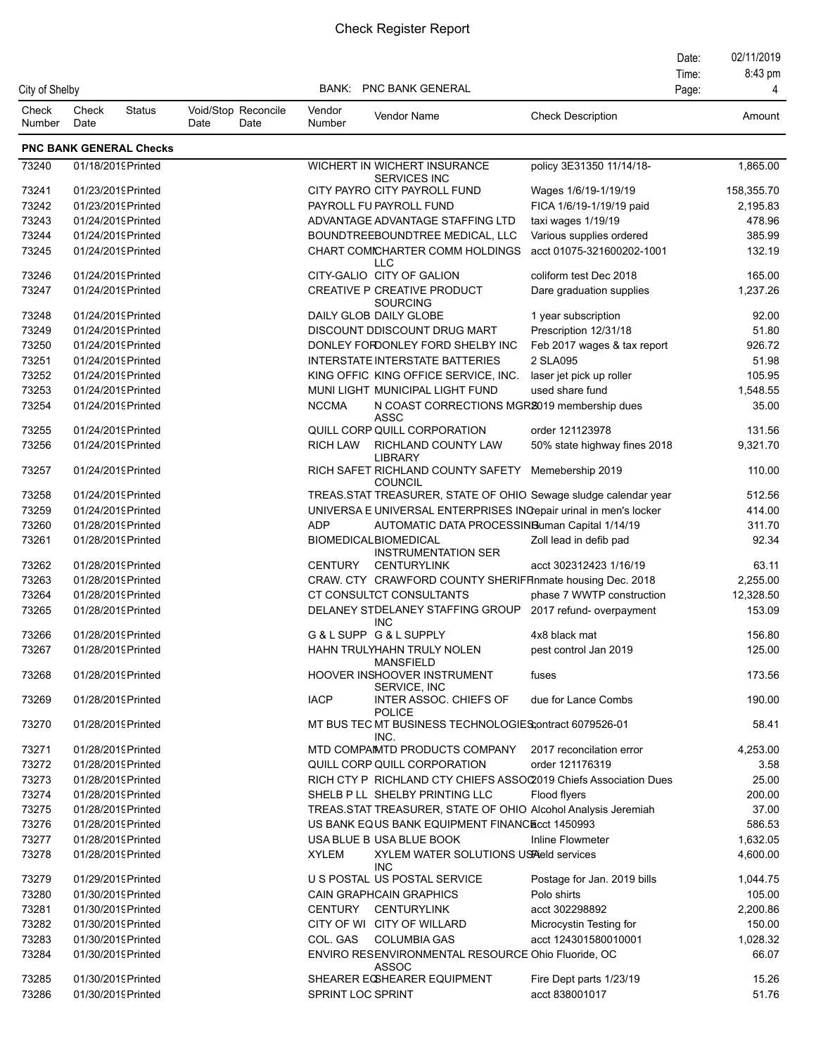|                 |               |                                          |                                     |                   |                                                                         |                              | Date:<br>Time: | 02/11/2019<br>8:43 pm |
|-----------------|---------------|------------------------------------------|-------------------------------------|-------------------|-------------------------------------------------------------------------|------------------------------|----------------|-----------------------|
| City of Shelby  |               |                                          |                                     | BANK:             | PNC BANK GENERAL                                                        |                              | Page:          | Δ                     |
| Check<br>Number | Check<br>Date | <b>Status</b>                            | Void/Stop Reconcile<br>Date<br>Date | Vendor<br>Number  | Vendor Name                                                             | <b>Check Description</b>     |                | Amount                |
|                 |               | <b>PNC BANK GENERAL Checks</b>           |                                     |                   |                                                                         |                              |                |                       |
| 73240           |               | 01/18/2019 Printed                       |                                     |                   | WICHERT IN WICHERT INSURANCE<br><b>SERVICES INC</b>                     | policy 3E31350 11/14/18-     |                | 1,865.00              |
| 73241           |               | 01/23/2019 Printed                       |                                     |                   | CITY PAYRO CITY PAYROLL FUND                                            | Wages 1/6/19-1/19/19         |                | 158,355.70            |
| 73242           |               | 01/23/2019 Printed                       |                                     |                   | PAYROLL FU PAYROLL FUND                                                 | FICA 1/6/19-1/19/19 paid     |                | 2,195.83              |
| 73243           |               | 01/24/2019 Printed                       |                                     |                   | ADVANTAGE ADVANTAGE STAFFING LTD                                        | taxi wages 1/19/19           |                | 478.96                |
| 73244           |               | 01/24/2019 Printed                       |                                     |                   | BOUNDTREEBOUNDTREE MEDICAL, LLC                                         | Various supplies ordered     |                | 385.99                |
| 73245           |               | 01/24/2019 Printed                       |                                     |                   | CHART COMICHARTER COMM HOLDINGS<br><b>LLC</b>                           | acct 01075-321600202-1001    |                | 132.19                |
| 73246           |               | 01/24/2019 Printed                       |                                     |                   | CITY-GALIO CITY OF GALION                                               | coliform test Dec 2018       |                | 165.00                |
| 73247           |               | 01/24/2019 Printed                       |                                     |                   | CREATIVE P CREATIVE PRODUCT<br><b>SOURCING</b>                          | Dare graduation supplies     |                | 1,237.26              |
| 73248           |               | 01/24/2019 Printed                       |                                     |                   | DAILY GLOB DAILY GLOBE                                                  | 1 year subscription          |                | 92.00                 |
| 73249           |               | 01/24/2019 Printed                       |                                     |                   | DISCOUNT DDISCOUNT DRUG MART                                            | Prescription 12/31/18        |                | 51.80                 |
| 73250           |               | 01/24/2019 Printed                       |                                     |                   | DONLEY FORDONLEY FORD SHELBY INC                                        | Feb 2017 wages & tax report  |                | 926.72                |
| 73251           |               | 01/24/2019 Printed                       |                                     |                   | <b>INTERSTATE INTERSTATE BATTERIES</b>                                  | 2 SLA095                     |                | 51.98                 |
| 73252           |               | 01/24/2019 Printed                       |                                     |                   | KING OFFIC KING OFFICE SERVICE, INC.                                    | laser jet pick up roller     |                | 105.95                |
| 73253           |               | 01/24/2019 Printed                       |                                     |                   | MUNI LIGHT MUNICIPAL LIGHT FUND                                         | used share fund              |                | 1,548.55              |
| 73254           |               | 01/24/2019 Printed                       |                                     | <b>NCCMA</b>      | N COAST CORRECTIONS MGR2019 membership dues<br>ASSC                     |                              |                | 35.00                 |
| 73255           |               | 01/24/2019 Printed                       |                                     |                   | QUILL CORP QUILL CORPORATION                                            | order 121123978              |                | 131.56                |
| 73256           |               | 01/24/2019 Printed                       |                                     | <b>RICH LAW</b>   | RICHLAND COUNTY LAW<br><b>LIBRARY</b>                                   | 50% state highway fines 2018 |                | 9,321.70              |
| 73257           |               | 01/24/2019 Printed                       |                                     |                   | RICH SAFET RICHLAND COUNTY SAFETY Memebership 2019<br><b>COUNCIL</b>    |                              |                | 110.00                |
| 73258           |               | 01/24/2019 Printed                       |                                     |                   | TREAS.STAT TREASURER, STATE OF OHIO Sewage sludge calendar year         |                              |                | 512.56                |
| 73259           |               | 01/24/2019 Printed                       |                                     |                   | UNIVERSA E UNIVERSAL ENTERPRISES INGepair urinal in men's locker        |                              |                | 414.00                |
| 73260           |               | 01/28/2019 Printed                       |                                     | <b>ADP</b>        | AUTOMATIC DATA PROCESSINGuman Capital 1/14/19                           |                              |                | 311.70                |
| 73261           |               | 01/28/2019 Printed                       |                                     |                   | <b>BIOMEDICALBIOMEDICAL</b><br><b>INSTRUMENTATION SER</b>               | Zoll lead in defib pad       |                | 92.34                 |
| 73262           |               | 01/28/2019 Printed                       |                                     | <b>CENTURY</b>    | <b>CENTURYLINK</b>                                                      | acct 302312423 1/16/19       |                | 63.11                 |
| 73263           |               | 01/28/2019 Printed                       |                                     |                   | CRAW. CTY CRAWFORD COUNTY SHERIFFInmate housing Dec. 2018               |                              |                | 2,255.00              |
| 73264           |               | 01/28/2019 Printed                       |                                     |                   | CT CONSULTCT CONSULTANTS                                                | phase 7 WWTP construction    |                | 12,328.50             |
| 73265           |               | 01/28/2019 Printed                       |                                     |                   | DELANEY STDELANEY STAFFING GROUP<br><b>INC</b>                          | 2017 refund- overpayment     |                | 153.09                |
| 73266           |               | 01/28/2019 Printed                       |                                     |                   | G&LSUPP G&LSUPPLY                                                       | 4x8 black mat                |                | 156.80                |
| 73267           |               | 01/28/2019Printed                        |                                     |                   | HAHN TRULYHAHN TRULY NOLEN<br><b>MANSFIELD</b>                          | pest control Jan 2019        |                | 125.00                |
| 73268<br>73269  |               | 01/28/2019 Printed<br>01/28/2019 Printed |                                     | <b>IACP</b>       | HOOVER INSHOOVER INSTRUMENT<br>SERVICE, INC<br>INTER ASSOC. CHIEFS OF   | fuses<br>due for Lance Combs |                | 173.56<br>190.00      |
| 73270           |               | 01/28/2019 Printed                       |                                     |                   | <b>POLICE</b><br>MT BUS TEC MT BUSINESS TECHNOLOGIES;ontract 6079526-01 |                              |                | 58.41                 |
|                 |               |                                          |                                     |                   | INC.                                                                    |                              |                |                       |
| 73271           |               | 01/28/2019Printed                        |                                     |                   | MTD COMPAIMTD PRODUCTS COMPANY                                          | 2017 reconcilation error     |                | 4,253.00              |
| 73272           |               | 01/28/2019 Printed                       |                                     |                   | QUILL CORP QUILL CORPORATION                                            | order 121176319              |                | 3.58                  |
| 73273           |               | 01/28/2019 Printed                       |                                     |                   | RICH CTY P RICHLAND CTY CHIEFS ASSOC2019 Chiefs Association Dues        |                              |                | 25.00                 |
| 73274           |               | 01/28/2019 Printed                       |                                     |                   | SHELB P LL SHELBY PRINTING LLC                                          | Flood flyers                 |                | 200.00                |
| 73275           |               | 01/28/2019 Printed                       |                                     |                   | TREAS.STAT TREASURER, STATE OF OHIO Alcohol Analysis Jeremiah           |                              |                | 37.00                 |
| 73276           |               | 01/28/2019 Printed                       |                                     |                   | US BANK EQUS BANK EQUIPMENT FINANCE cct 1450993                         |                              |                | 586.53                |
| 73277           |               | 01/28/2019 Printed                       |                                     |                   | USA BLUE B USA BLUE BOOK                                                | Inline Flowmeter             |                | 1,632.05              |
| 73278           |               | 01/28/2019 Printed                       |                                     | XYLEM             | XYLEM WATER SOLUTIONS USFAeld services<br><b>INC</b>                    |                              |                | 4,600.00              |
| 73279           |               | 01/29/2019 Printed                       |                                     |                   | U S POSTAL US POSTAL SERVICE                                            | Postage for Jan. 2019 bills  |                | 1,044.75              |
| 73280           |               | 01/30/2019 Printed                       |                                     |                   | <b>CAIN GRAPHCAIN GRAPHICS</b>                                          | Polo shirts                  |                | 105.00                |
| 73281           |               | 01/30/2019 Printed                       |                                     |                   | CENTURY CENTURYLINK                                                     | acct 302298892               |                | 2,200.86              |
| 73282           |               | 01/30/2019 Printed                       |                                     |                   | CITY OF WI CITY OF WILLARD                                              | Microcystin Testing for      |                | 150.00                |
| 73283           |               | 01/30/2019 Printed                       |                                     | COL. GAS          | <b>COLUMBIA GAS</b>                                                     | acct 124301580010001         |                | 1,028.32              |
| 73284           |               | 01/30/2019 Printed                       |                                     |                   | ENVIRO RESENVIRONMENTAL RESOURCE Ohio Fluoride, OC<br><b>ASSOC</b>      |                              |                | 66.07                 |
| 73285           |               | 01/30/2019 Printed                       |                                     |                   | SHEARER ECSHEARER EQUIPMENT                                             | Fire Dept parts 1/23/19      |                | 15.26                 |
| 73286           |               | 01/30/2019 Printed                       |                                     | SPRINT LOC SPRINT |                                                                         | acct 838001017               |                | 51.76                 |